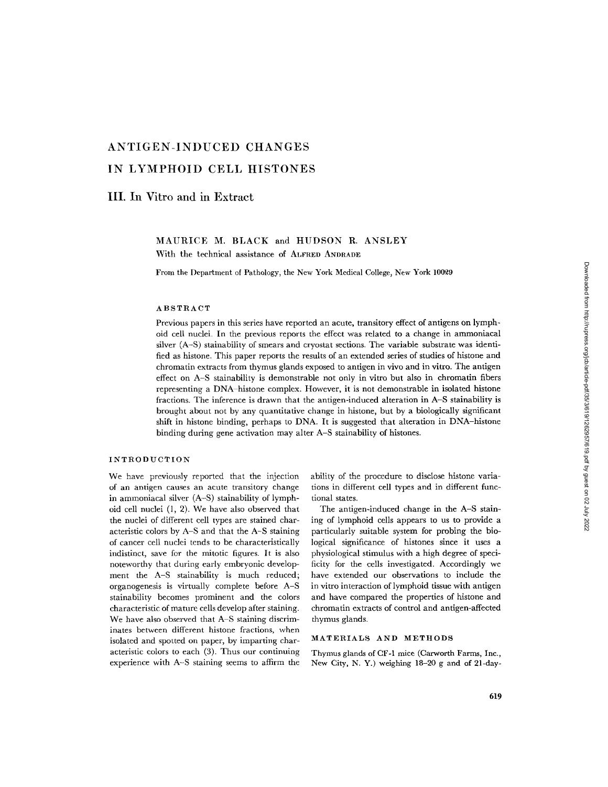# ANTIGEN-INDUCED CHANGES IN LYMPHOID CELL HISTONES

## III. In Vitro and in Extract

### MAURICE M. BLACK and HUDSON R. ANSLEY With the technical assistance of ALFRED ANDRADE

From the Department of Pathology, the New York Medical College, New York 10029

#### ABSTRACT

Previous papers in this series have reported an acute, transitory effect of antigens on lymphoid cell nuclei. In the previous reports the effect was related to a change in ammoniacal silver (A-S) stainability of smears and cryostat sections. The variable substrate was identified as histone. This paper reports the results of an extended series of studies of histone and chromatin extracts from thymus glands exposed to antigen in vivo and in vitro. The antigen effect on A-S stainability is demonstrable not only in vitro but also in chromatin fibers representing a DNA histone complex. However, it is not demonstrable in isolated histone fractions. The inference is drawn that the antigen-induced alteration in A-S stainability is brought about not by any quantitative change in histone, but by a biologically significant shift in histone binding, perhaps to DNA. It is suggested that alteration in DNA-histone binding during gene activation may alter A-S stainability of histones.

#### INTRODUCTION

We have previously reported that the injection of an antigen causes an acute transitory change in ammoniacal silver (A-S) stainability of lymphoid cell nuclei (1, 2). We have also observed that the nuclei of different cell types are stained characteristic colors by A-S and that the A-S staining of cancer cell nuclei tends to be characteristically indistinct, save for the mitotic figures. It is also noteworthy that during early embryonic development the A-S stainability is much reduced; organogenesis is virtually complete before A-S stainability becomes prominent and the colors characteristic of mature cells develop after staining. We have also observed that A-S staining discriminates between different histone fractions, when isolated and spotted on paper, by imparting characteristic colors to each (3). Thus our continuing experience with A-S staining seems to affirm the ability of the procedure to disclose histone variations in different cell types and in different functional states.

The antigen-induced change in the A-S staining of lymphoid cells appears to us to provide a particularly suitable system for probing the biological significance of histones since it uses a physiological stimulus with a high degree of specificity for the cells investigated. Accordingly we have extended our observations to include the in vitro interaction of lymphoid tissue with antigen and have compared the properties of histone and chromatin extracts of control and antigen-affected thymus glands.

#### MATERIALS AND METHODS

Thymus glands of CF-I mice (Carworth Farms, Inc., New City, N. Y.) weighing 18-20 g and of 21-day-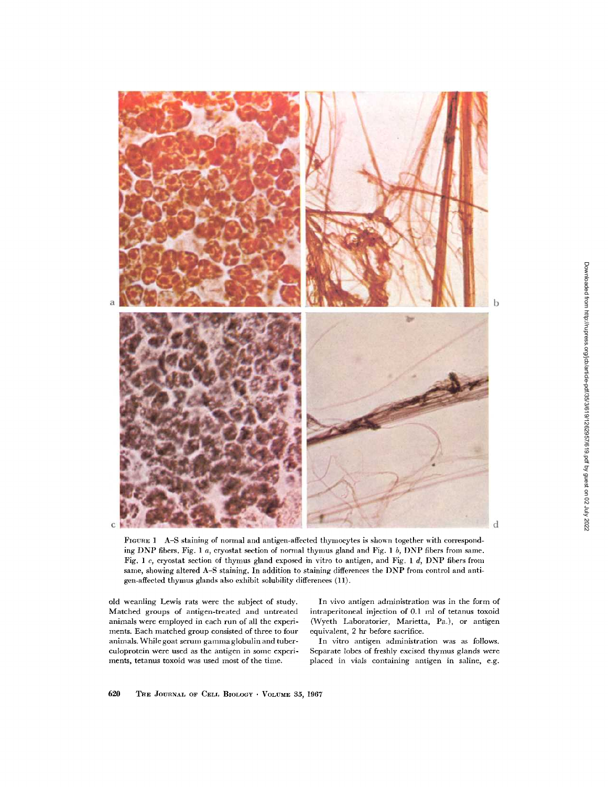

FIGURE 1 A-S staining of normal and antigen-affected thymocytes is shown together with corresponding DNP fibers. Fig. 1 a, cryostat section of normal thymus gland and Fig. 1 b, DNP fibers from same. Fig. 1 c, cryostat section of thymus gland exposed in vitro to antigen, and Fig. 1 *d,* DNP fibers from same, showing altered A-S staining. In addition to staining differences the DNP from control and antigen-affected thymus glands also exhibit solubility differences (11).

old weanling Lewis rats were the subject of study. Matched groups of antigen-treated and untreated animals were employed in each run of all the experiments. Each matched group consisted of three to four animals. While goat serum gamma globulin and tuberculoprotein were used as the antigen in some experiments, tetanus toxoid was used most of the time.

In vivo antigen administration was in the form of intraperitoneal injection of 0.1 ml of tetanus toxoid (Wyeth Laboratories, Marietta, Pa.), or antigen equivalent, 2 hr before sacrifice.

In vitro antigen administration was as follows. Separate lobes of freshly excised thymus glands were placed in vials containing antigen in saline, e.g.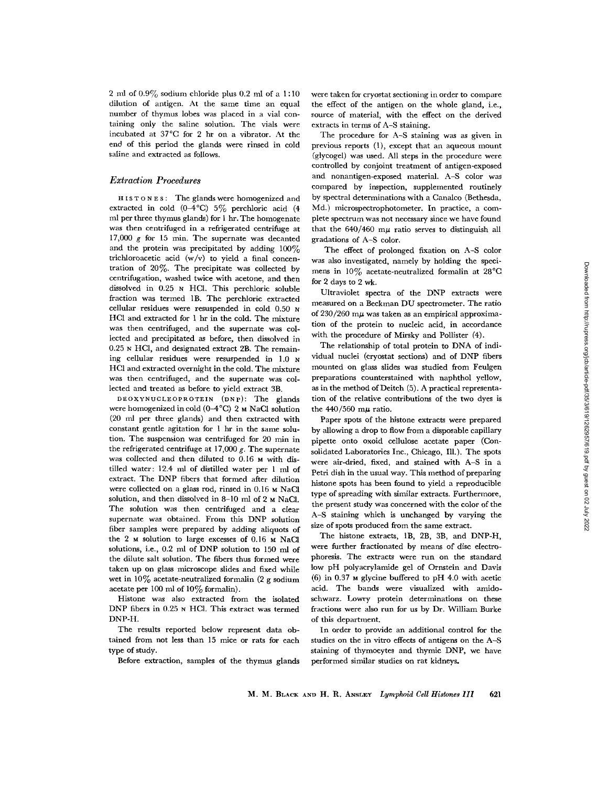2 ml of  $0.9\%$  sodium chloride plus 0.2 ml of a 1:10 dilution of antigen. At the same time an equal number of thymus lobes was placed in a vial containing only the saline solution. The vials were incubated at  $37^{\circ}$ C for 2 hr on a vibrator. At the end of this period the glands were rinsed in cold saline and extracted as follows.

#### *Extraction Procedures*

HIS T O N E S: The glands were homogenized and extracted in cold  $(0-4^{\circ}\text{C})$  5% perchloric acid (4 ml per three thymus glands) for 1 hr. The homogenate was then centrifuged in a refrigerated centrifuge at 17,000  $g$  for 15 min. The supernate was decanted and the protein was precipitated by adding  $100\%$ trichloroacetic acid (w/v) to yield a final concentration of  $20\%$ . The precipitate was collected by centrifugation, washed twice with acetone, and then dissolved in 0.25 N HCl. This perchloric soluble fraction was termed lB. The perchloric extracted cellular residues were resuspended in cold 0.50 N HCI and extracted for 1 hr in the cold. The mixture was then centrifuged, and the supernate was collected and precipitated as before, then dissolved in 0.25 N HCl, and designated extract 2B. The remaining cellular residues were resuspended in 1.0 N HCl and extracted overnight in the cold. The mixture was then centrifuged, and the supernate was collected and treated as before to yield extract 3B.

DEOXYNUCLEOPROTEIN (DNP): The glands were homogenized in cold  $(0-4\degree C)$  2 M NaCl solution (20 ml per three glands) and then extracted with constant gentle agitation for 1 hr in the same solution. The suspension was centrifuged for 20 min in the refrigerated centrifuge at 17,000  $g$ . The supernate was collected and then diluted to 0.16 M with distilled water: 12.4 ml of distilled water per 1 ml of extract. The DNP fibers that formed after dilution were collected on a glass rod, rinsed in 0.16 M NaCl solution, and then dissolved in 8-10 ml of 2 M NaCl. The solution was then centrifuged and a clear supernate was obtained. From this DNP solution fiber samples were prepared by adding aliquots of the 2  $\mu$  solution to large excesses of 0.16  $\mu$  NaCl solutions, i.e., 0.2 ml of DNP solution to 150 ml of the dilute salt solution. The fibers thus formed were taken up on glass microscope slides and fixed while wet in 10% acetate-neutralized formalin (2 g sodium acetate per  $100$  ml of  $10\%$  formalin).

Histone was also extracted from the isolated DNP fibers in 0.25 N HCl. This extract was termed DNP-H.

The results reported below represent data obtained from not less than 15 mice or rats for each type of study.

Before extraction, samples of the thymus glands

were taken for cryostat sectioning in order to compare the effect of the antigen on the whole gland, i.e., source of material, with the effect on the derived extracts in terms of A-S staining.

The procedure for A-S staining was as given in previous reports (1), except that an aqueous mount (glycogel) was used. All steps in the procedure were controlled by conjoint treatment of antigen-exposed and nonantigen-exposed material. A-S color was compared by inspection, supplemented routinely by spectral determinations with a Canalco (Bethesda, Md.) microspectrophotometer. In practice, a complete spectrum was not necessary since we have found that the  $640/460$  m $\mu$  ratio serves to distinguish all gradations of A-S color.

The effect of prolonged fixation on A-S color was also investigated, namely by holding the specimens in  $10\%$  acetate-neutralized formalin at 28°C for 2 days to 2 wk.

Ultraviolet spectra of the DNP extracts were measured on a Beckman DU spectrometer. The ratio of  $230/260$  m $\mu$  was taken as an empirical approximation of the protein to nucleic acid, in accordance with the procedure of Mirsky and Pollister (4).

The relationship of total protein to DNA of individual nuclei (cryostat sections) and of DNP fibers mounted on glass slides was studied from Feulgen preparations counterstained with naphthol yellow, as in the method of Deitch (5). A practical representation of the relative contributions of the two dyes is the  $440/560$  m $\mu$  ratio.

Paper spots of the histone extracts were prepared by allowing a drop to flow from a disposable capillary pipette onto oxoid cellulose acetate paper (Consolidated Laboratories Inc., Chicago, Ill.). The spots were air-dried, fixed, and stained with A-S in a Petri dish in the usual way. This method of preparing histone spots has been found to yield a reproducible type of spreading with similar extracts. Furthermore, the present study was concerned with the color of the A-S staining which is unchanged by varying the size of spots produced from the same extract.

The histone extracts, IB, 2B, 3B, and DNP-H, were further fractionated by means of disc electrophoresis. The extracts were run on the standard low pH polyacrylamide gel of Ornstein and Davis  $(6)$  in 0.37 M glycine buffered to pH 4.0 with acetic acid. The bands were visualized with amidoschwarz. Lowry protein determinations on these fractions were also run for us by Dr. William Burke of this department.

In order to provide an additional control for the studies on the in vitro effects of antigens on the A-S staining of thymocytes and thymic DNP, we have performed similar studies on rat kidneys.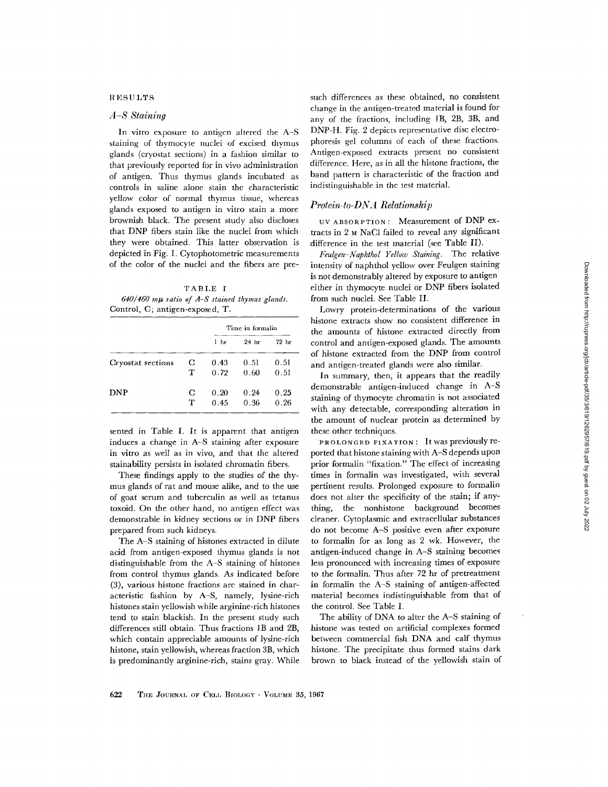#### *A-S Staining*

In vitro exposure to antigen altered the A-S staining of thymocyte nuclei of excised thymus glands (cryostat sections) in a fashion similar to that previously reported for in vivo administration of antigen. Thus thymus glands incubated as controls in saline alone stain the characteristic yellow color of normal thymus tissue, whereas glands exposed to antigen in vitro stain a more brownish black. The present study also discloses that DNP fibers stain like the nuclei from which they were obtained. This latter observation is depicted in Fig. 1. Cytophotometric measurements of the color of the nuclei and the fibers are pre-

TABLE I *640/460 ml ratio of A-S stained thymus glands.* Control, C; antigen-exposed, T.

|                   |   | Time in formalin |         |       |
|-------------------|---|------------------|---------|-------|
|                   |   | 1 <sub>hr</sub>  | $24$ hr | 72 hr |
| Cryostat sections | С | 0.43             | 0.51    | 0.51  |
|                   | T | 0.72             | 0.60    | 0.51  |
| <b>DNP</b>        | C | 0.20             | 0.24    | 0.25  |
|                   | т | 0.45             | 0.36    | 0.26  |

sented in Table I. It is apparent that antigen induces a change in A-S staining after exposure in vitro as well as in vivo, and that the altered stainability persists in isolated chromatin fibers.

These findings apply to the studies of the thymus glands of rat and mouse alike, and to the use of goat serum and tuberculin as well as tetanus toxoid. On the other hand, no antigen effect was demonstrable in kidney sections or in DNP fibers prepared from such kidneys.

The A-S staining of histones extracted in dilute acid from antigen-exposed thymus glands is not distinguishable from the A-S staining of histones from control thymus glands. As indicated before (3), various histone fractions are stained in characteristic fashion by A-S, namely, lysine-rich histones stain yellowish while arginine-rich histones tend to stain blackish. In the present study such differences still obtain. Thus fractions 1B and 2B, which contain appreciable amounts of lysine-rich histone, stain yellowish, whereas fraction 3B, which is predominantly arginine-rich, stains gray. While such differences as these obtained, no consistent change in the antigen-treated material is found for any of the fractions, including lB, 2B, 3B, and DNP-H. Fig. 2 depicts representative disc electrophoresis gel columns of each of these fractions. Antigen-exposed extracts present no consistent difference. Here, as in all the histone fractions, the band pattern is characteristic of the fraction and indistinguishable in the test material.

#### *Protein-to-DNA Relationship*

uv ABSORPTION: Measurement of DNP extracts in 2 M NaCI failed to reveal any significant difference in the test material (see Table II).

*Feulgen-Naphthol Yellow Staining.* The relative intensity of naphthol yellow over Feulgen staining is not demonstrably altered by exposure to antigen either in thymocyte nuclei or DNP fibers isolated from such nuclei. See Table II.

Lowry protein-determinations of the various histone extracts show no consistent difference in the amounts of histone extracted directly from control and antigen-exposed glands. The amounts of histone extracted from the DNP from control and antigen-treated glands were also similar.

In summary, then, it appears that the readily demonstrable antigen-induced change in A-S staining of thymocyte chromatin is not associated with any detectable, corresponding alteration in the amount of nuclear protein as determined by these other techniques.

PROLONGED FIXATION: It was previously reported that histone staining with A-S depends upon prior formalin "fixation." The effect of increasing times in formalin was investigated, with several pertinent results. Prolonged exposure to formalin does not alter the specificity of the stain; if anything, the nonhistone background becomes cleaner. Cytoplasmic and extracellular substances do not become A-S positive even after exposure to formalin for as long as 2 wk. However, the antigen-induced change in A-S staining becomes less pronounced with increasing times of exposure to the formalin. Thus after 72 hr of pretreatment in formalin the A-S staining of antigen-affected material becomes indistinguishable from that of the control. See Table I.

The ability of DNA to alter the A-S staining of histone was tested on artificial complexes formed between commercial fish DNA and calf thymus histone. The precipitate thus formed stains dark brown to black instead of the yellowish stain of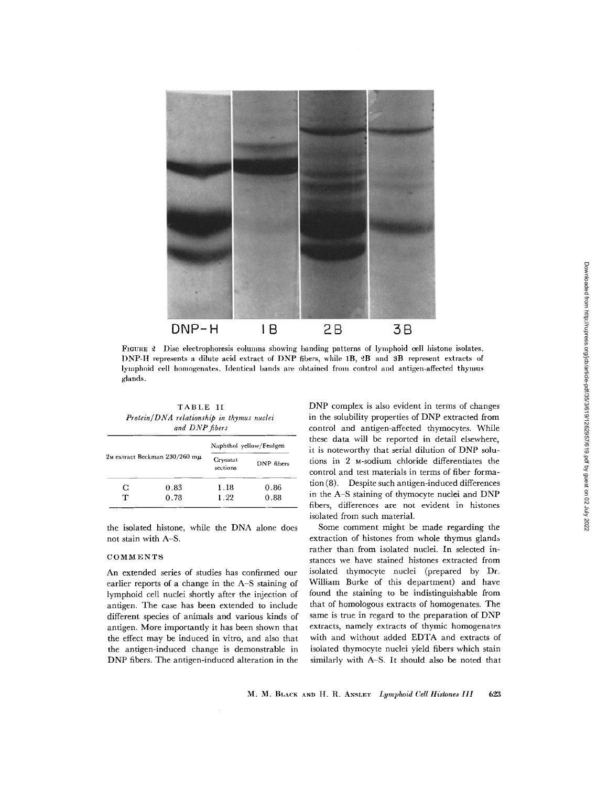

FIGURE 2 Disc electrophoresis columns showing banding patterns of lymphoid cell histone isolates. I)DNP-IH represents a dilute acid extract of **I)NP** fibers, while **IB,** B and **B** represent extracts of lymphoid cell homogenates. Identical bands are obtained from control and antigen-affected thymus glands.

TABLE II *Protein/DNA relationship in thymus nuclei* and DNP fibers

|   |  |                                    | Naphthol yellow/Feulgen |            |  |
|---|--|------------------------------------|-------------------------|------------|--|
|   |  | 2м extract Beckman 230/260 m $\mu$ | Cryostat<br>sections    | DNP fibers |  |
| С |  | 0.83                               | 1.18                    | 0.86       |  |
| Ͳ |  | 0.78                               | 1.22                    | 0.88       |  |

the isolated histone, while the DNA alone does not stain with A-S.

#### **COMMENTS**

An extended series of studies has confirmed our earlier reports of a change in the A-S staining of lymphoid cell nuclei shortly after the injection of antigen. The case has been extended to include different species of animals and various kinds of antigen. More importantly it has been shown that the effect may be induced in vitro, and also that the antigen-induced change is demonstrable in DNP fibers. The antigen-induced alteration in the DNP complex is also evident in terms of changes in the solubility properties of DNP extracted from control and antigen-affected thymocytes. While these data will be reported in detail elsewhere, it is noteworthy that serial dilution of DNP solutions in 2 M-sodium chloride differentiates the control and test materials in terms of fiber formation (8). Despite such antigen-induced differences in the  $A - S$  staining of thymocyte nuclei and DNP fibers, differences are not evident in histones isolated from such material.

Some comment might be made regarding the extraction of histones from whole thymus glands rather than from isolated nuclei. In selected instances we have stained histones extracted from isolated thymocyte nuclei (prepared by Dr. William Burke of this department) and have found the staining to be indistinguishable from that of homologous extracts of homogenates. The same is true in regard to the preparation of DNP extracts, namely extracts of thymic homogenates with and without added EDTA and extracts of isolated thymocyte nuclei yield fibers which stain similarly with A-S. It should also be noted that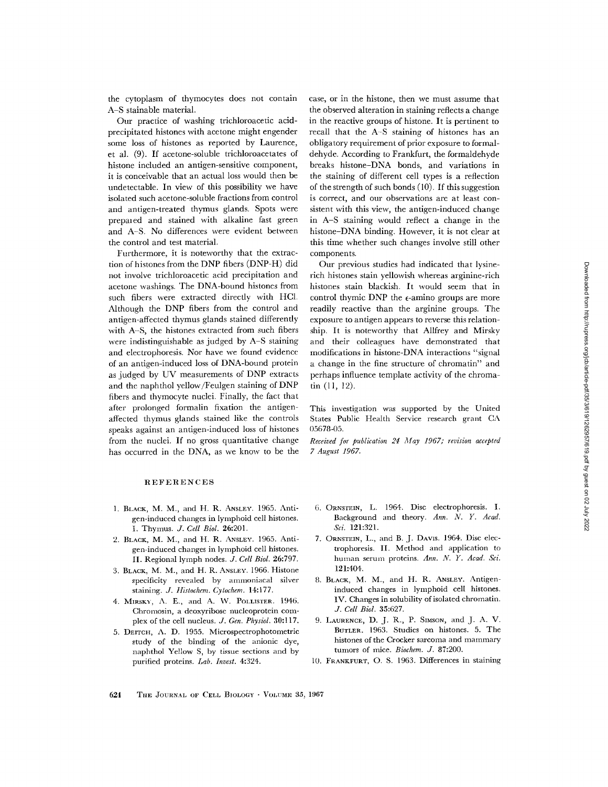the cytoplasm of thymocytes does not contain A-S stainable material.

Our practice of washing trichloroacetic acidprecipitated histones with acetone might engender some loss of histones as reported by Laurence, et al. (9). If acetone-soluble trichloroacetates of histone included an antigen-sensitive component, it is conceivable that an actual loss would then be undetectable. In view of this possibility we have isolated such acetone-soluble fractions from control and antigen-treated thymus glands. Spots were prepared and stained with alkaline fast green and A-S. No differences were evident between the control and test material.

Furthermore, it is noteworthy that the extraction of histones from the DNP fibers (DNP-H) did not involve trichloroacetic acid precipitation and acetone washings. The DNA-bound histones from such fibers were extracted directly with HC1. Although the DNP fibers from the control and antigen-affected thymus glands stained differently with A-S, the histones extracted from such fibers were indistinguishable as judged by A-S staining and electrophoresis. Nor have we found evidence of an antigen-induced loss of DNA-bound protein as judged by UV measurements of DNP extracts and the naphthol yellow/Feulgen staining of DNP fibers and thymocyte nuclei. Finally, the fact that after prolonged formalin fixation the antigenaffected thymus glands stained like the controls speaks against an antigen-induced loss of histones from the nuclei. If no gross quantitative change has occurred in the DNA, as we know to be the case, or in the histone, then we must assume that the observed alteration in staining reflects a change in the reactive groups of histone. It is pertinent to recall that the A-S staining of histones has an obligatory requirement of prior exposure to formaldehyde. According to Frankfurt, the formaldehyde breaks histone-DNA bonds, and variations in the staining of different cell types is a reflection of the strength of such bonds (10). If this suggestion is correct, and our observations are at least consistent with this view, the antigen-induced change in A-S staining would reflect a change in the histone-DNA binding. However, it is not clear at this time whether such changes involve still other components.

Our previous studies had indicated that lysinerich histones stain yellowish whereas arginine-rich histones stain blackish. It would seem that in control thymic DNP the  $\epsilon$ -amino groups are more readily reactive than the arginine groups. The exposure to antigen appears to reverse this relationship. It is noteworthy that Allfrey and Mirsky and their colleagues have demonstrated that modifications in histone-DNA interactions "signal a change in the fine structure of chromatin" and perhaps influence template activity of the chromatin (11, 12).

This investigation was supported by the United States Public Health Service research grant CA 05678-05.

*Received for publication 2 May 1967; revision accepted 7 August 1967.*

#### REFERENCES

- 1. BLACK, M. M., and H. R. ANSLEY. 1965. Antigen-induced changes in lymphoid cell histones. I. Thymus. *J. Cell Biol.* 26:201.
- 2. BLACK, M. M., and H. R. ANSLEY. 1965. Antigen-induced changes in lymphoid cell histones. II. Regional lymph nodes. *J. Cell Biol.* 26:797.
- 3. BLACK, M. M., and H. R. ANSLEY. 1966. Histone specificity revealed by ammoniacal silver staining. *J. Histochem. Cytochem.* 14:177.
- 4. MIRSKY, A. E., and A. W. POLLISTER. 1946. Chromosin, a deoxyribose nucleoprotein complex of the cell nucleus. *J. Gen. Physiol.* 30:117.
- 5. DEITCH, A. D. 1955. Microspectrophotometric study of the binding of the anionic dye, naphthol Yellow S, by tissue sections and by purified proteins. *Lab. Invest.* 4:324.
- 6. ORNSTEIN, L. 1964. Disc electrophoresis. I. Background and theory. *Ann. N. Y. Acad. Sci.* 121:321.
- 7. ORNSTEIN, L., and B. J. DAVIS. 1964. Disc electrophoresis. II. Method and application to human serum proteins. *Ann. N. Y. Acad. Sci.* 121:404.
- 8. BLACK, M. M., and H. R. ANSLEY. Antigeninduced changes in lymphoid cell histones. IV. Changes in solubility of isolated chromatin. *J. Cell Biol.* 35:627.
- 9. LAURENCE, D. J. R., P. SIMSON, and J. A. V. BUTLER. 1963. Studies on histones. 5. The histones of the Crocker sarcoma and mammary tumors of mice. *Biochem. J.* 87:200.
- 10. FRANKFURT, O. S. 1963. Differences in staining
- 624 THE JOURNAL OF CELL BIOLOGY · VOLUME 35, 1967